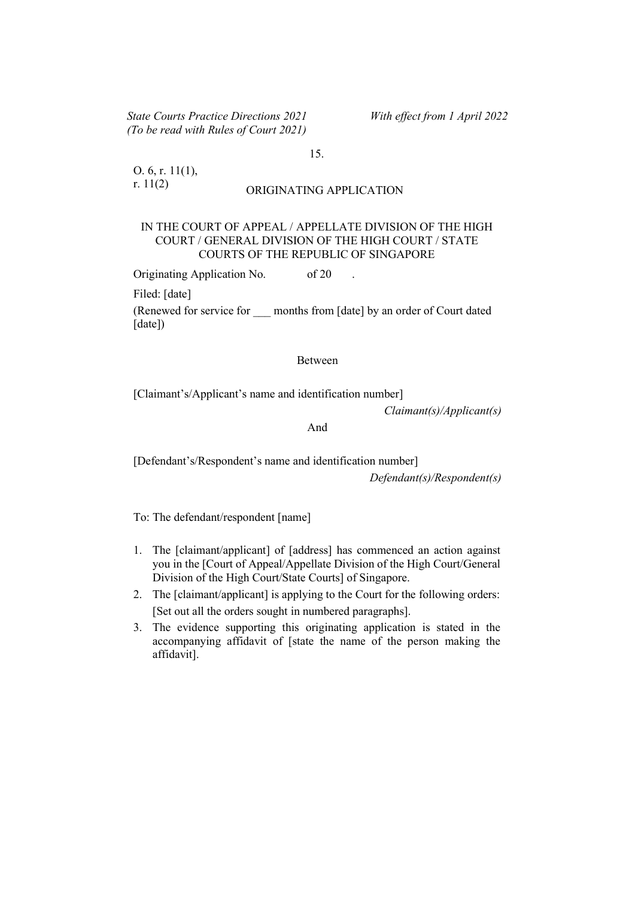State Courts Practice Directions 2021 With effect from 1 April 2022 (To be read with Rules of Court 2021)

15.

O. 6, r. 11(1),

# r. 11(2) ORIGINATING APPLICATION

#### IN THE COURT OF APPEAL / APPELLATE DIVISION OF THE HIGH COURT / GENERAL DIVISION OF THE HIGH COURT / STATE COURTS OF THE REPUBLIC OF SINGAPORE

Originating Application No. of 20

Filed: [date]

(Renewed for service for \_\_\_ months from [date] by an order of Court dated [date])

#### Between

[Claimant's/Applicant's name and identification number]

Claimant(s)/Applicant(s)

## And

[Defendant's/Respondent's name and identification number]

Defendant(s)/Respondent(s)

To: The defendant/respondent [name]

- 1. The [claimant/applicant] of [address] has commenced an action against you in the [Court of Appeal/Appellate Division of the High Court/General Division of the High Court/State Courts] of Singapore.
- 2. The [claimant/applicant] is applying to the Court for the following orders: [Set out all the orders sought in numbered paragraphs].
- 3. The evidence supporting this originating application is stated in the accompanying affidavit of [state the name of the person making the affidavit].